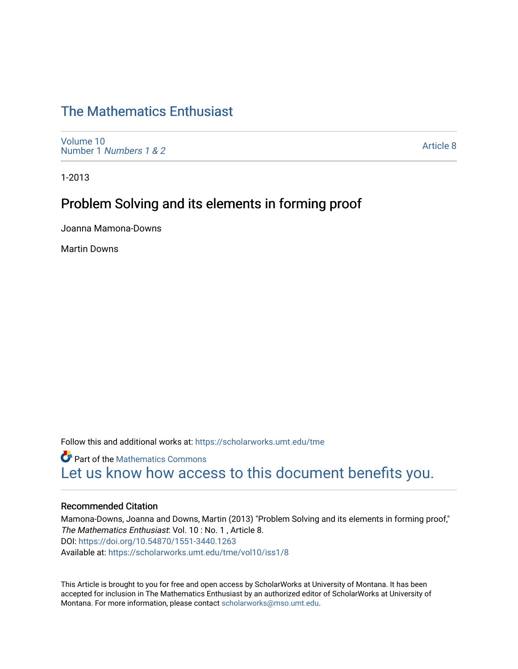# [The Mathematics Enthusiast](https://scholarworks.umt.edu/tme)

[Volume 10](https://scholarworks.umt.edu/tme/vol10) Number 1 [Numbers 1 & 2](https://scholarworks.umt.edu/tme/vol10/iss1)

[Article 8](https://scholarworks.umt.edu/tme/vol10/iss1/8) 

1-2013

## Problem Solving and its elements in forming proof

Joanna Mamona-Downs

Martin Downs

Follow this and additional works at: [https://scholarworks.umt.edu/tme](https://scholarworks.umt.edu/tme?utm_source=scholarworks.umt.edu%2Ftme%2Fvol10%2Fiss1%2F8&utm_medium=PDF&utm_campaign=PDFCoverPages) 

**Part of the [Mathematics Commons](http://network.bepress.com/hgg/discipline/174?utm_source=scholarworks.umt.edu%2Ftme%2Fvol10%2Fiss1%2F8&utm_medium=PDF&utm_campaign=PDFCoverPages)** [Let us know how access to this document benefits you.](https://goo.gl/forms/s2rGfXOLzz71qgsB2) 

#### Recommended Citation

Mamona-Downs, Joanna and Downs, Martin (2013) "Problem Solving and its elements in forming proof," The Mathematics Enthusiast: Vol. 10 : No. 1 , Article 8. DOI:<https://doi.org/10.54870/1551-3440.1263> Available at: [https://scholarworks.umt.edu/tme/vol10/iss1/8](https://scholarworks.umt.edu/tme/vol10/iss1/8?utm_source=scholarworks.umt.edu%2Ftme%2Fvol10%2Fiss1%2F8&utm_medium=PDF&utm_campaign=PDFCoverPages) 

This Article is brought to you for free and open access by ScholarWorks at University of Montana. It has been accepted for inclusion in The Mathematics Enthusiast by an authorized editor of ScholarWorks at University of Montana. For more information, please contact [scholarworks@mso.umt.edu.](mailto:scholarworks@mso.umt.edu)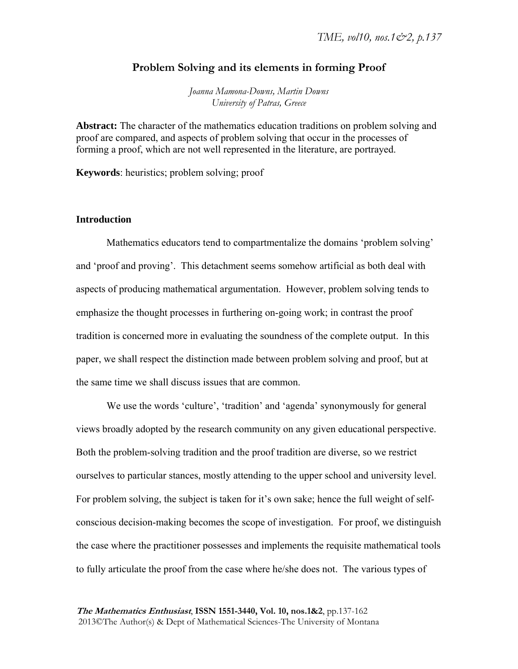## **Problem Solving and its elements in forming Proof**

*Joanna Mamona-Downs, Martin Downs University of Patras, Greece* 

**Abstract:** The character of the mathematics education traditions on problem solving and proof are compared, and aspects of problem solving that occur in the processes of forming a proof, which are not well represented in the literature, are portrayed.

**Keywords**: heuristics; problem solving; proof

## **Introduction**

Mathematics educators tend to compartmentalize the domains 'problem solving' and 'proof and proving'. This detachment seems somehow artificial as both deal with aspects of producing mathematical argumentation. However, problem solving tends to emphasize the thought processes in furthering on-going work; in contrast the proof tradition is concerned more in evaluating the soundness of the complete output. In this paper, we shall respect the distinction made between problem solving and proof, but at the same time we shall discuss issues that are common.

We use the words 'culture', 'tradition' and 'agenda' synonymously for general views broadly adopted by the research community on any given educational perspective. Both the problem-solving tradition and the proof tradition are diverse, so we restrict ourselves to particular stances, mostly attending to the upper school and university level. For problem solving, the subject is taken for it's own sake; hence the full weight of selfconscious decision-making becomes the scope of investigation. For proof, we distinguish the case where the practitioner possesses and implements the requisite mathematical tools to fully articulate the proof from the case where he/she does not. The various types of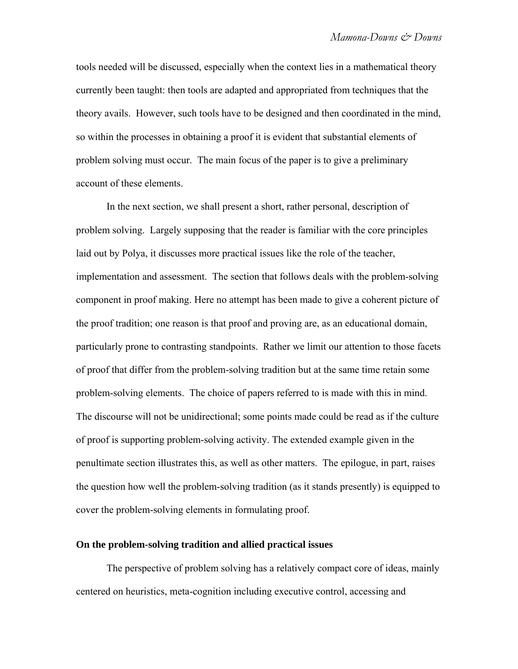tools needed will be discussed, especially when the context lies in a mathematical theory currently been taught: then tools are adapted and appropriated from techniques that the theory avails. However, such tools have to be designed and then coordinated in the mind, so within the processes in obtaining a proof it is evident that substantial elements of problem solving must occur. The main focus of the paper is to give a preliminary account of these elements.

In the next section, we shall present a short, rather personal, description of problem solving. Largely supposing that the reader is familiar with the core principles laid out by Polya, it discusses more practical issues like the role of the teacher, implementation and assessment. The section that follows deals with the problem-solving component in proof making. Here no attempt has been made to give a coherent picture of the proof tradition; one reason is that proof and proving are, as an educational domain, particularly prone to contrasting standpoints. Rather we limit our attention to those facets of proof that differ from the problem-solving tradition but at the same time retain some problem-solving elements. The choice of papers referred to is made with this in mind. The discourse will not be unidirectional; some points made could be read as if the culture of proof is supporting problem-solving activity. The extended example given in the penultimate section illustrates this, as well as other matters. The epilogue, in part, raises the question how well the problem-solving tradition (as it stands presently) is equipped to cover the problem-solving elements in formulating proof.

#### **On the problem-solving tradition and allied practical issues**

The perspective of problem solving has a relatively compact core of ideas, mainly centered on heuristics, meta-cognition including executive control, accessing and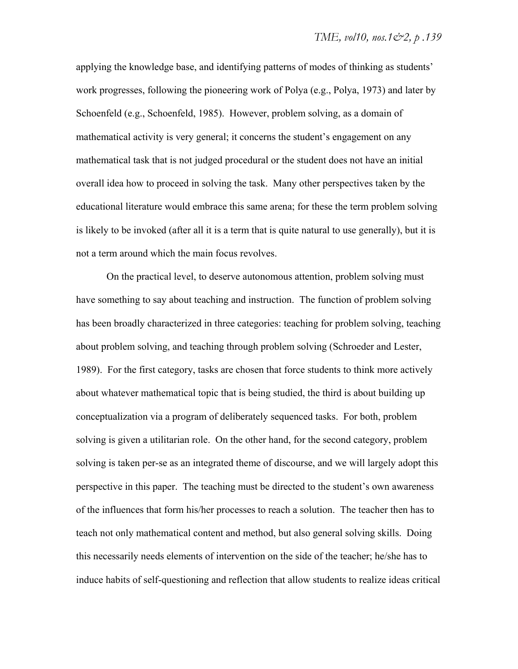applying the knowledge base, and identifying patterns of modes of thinking as students' work progresses, following the pioneering work of Polya (e.g., Polya, 1973) and later by Schoenfeld (e.g., Schoenfeld, 1985). However, problem solving, as a domain of mathematical activity is very general; it concerns the student's engagement on any mathematical task that is not judged procedural or the student does not have an initial overall idea how to proceed in solving the task. Many other perspectives taken by the educational literature would embrace this same arena; for these the term problem solving is likely to be invoked (after all it is a term that is quite natural to use generally), but it is not a term around which the main focus revolves.

On the practical level, to deserve autonomous attention, problem solving must have something to say about teaching and instruction. The function of problem solving has been broadly characterized in three categories: teaching for problem solving, teaching about problem solving, and teaching through problem solving (Schroeder and Lester, 1989). For the first category, tasks are chosen that force students to think more actively about whatever mathematical topic that is being studied, the third is about building up conceptualization via a program of deliberately sequenced tasks. For both, problem solving is given a utilitarian role. On the other hand, for the second category, problem solving is taken per-se as an integrated theme of discourse, and we will largely adopt this perspective in this paper. The teaching must be directed to the student's own awareness of the influences that form his/her processes to reach a solution. The teacher then has to teach not only mathematical content and method, but also general solving skills. Doing this necessarily needs elements of intervention on the side of the teacher; he/she has to induce habits of self-questioning and reflection that allow students to realize ideas critical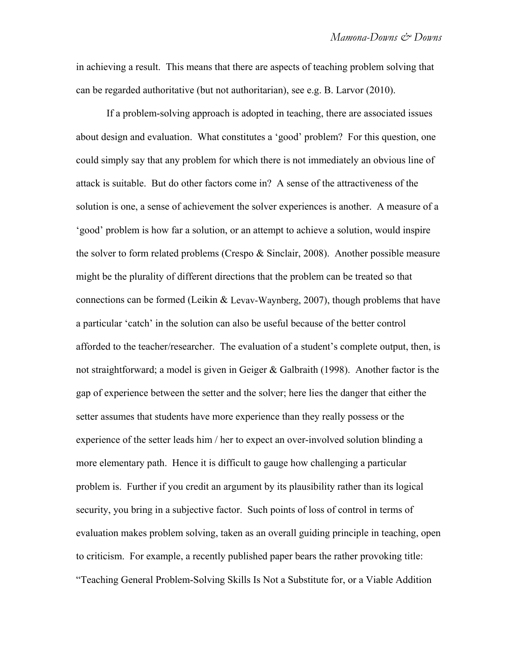in achieving a result. This means that there are aspects of teaching problem solving that can be regarded authoritative (but not authoritarian), see e.g. B. Larvor (2010).

If a problem-solving approach is adopted in teaching, there are associated issues about design and evaluation. What constitutes a 'good' problem? For this question, one could simply say that any problem for which there is not immediately an obvious line of attack is suitable. But do other factors come in? A sense of the attractiveness of the solution is one, a sense of achievement the solver experiences is another. A measure of a 'good' problem is how far a solution, or an attempt to achieve a solution, would inspire the solver to form related problems (Crespo & Sinclair, 2008). Another possible measure might be the plurality of different directions that the problem can be treated so that connections can be formed (Leikin & Levav-Waynberg, 2007), though problems that have a particular 'catch' in the solution can also be useful because of the better control afforded to the teacher/researcher. The evaluation of a student's complete output, then, is not straightforward; a model is given in Geiger & Galbraith (1998). Another factor is the gap of experience between the setter and the solver; here lies the danger that either the setter assumes that students have more experience than they really possess or the experience of the setter leads him / her to expect an over-involved solution blinding a more elementary path. Hence it is difficult to gauge how challenging a particular problem is. Further if you credit an argument by its plausibility rather than its logical security, you bring in a subjective factor. Such points of loss of control in terms of evaluation makes problem solving, taken as an overall guiding principle in teaching, open to criticism. For example, a recently published paper bears the rather provoking title: "Teaching General Problem-Solving Skills Is Not a Substitute for, or a Viable Addition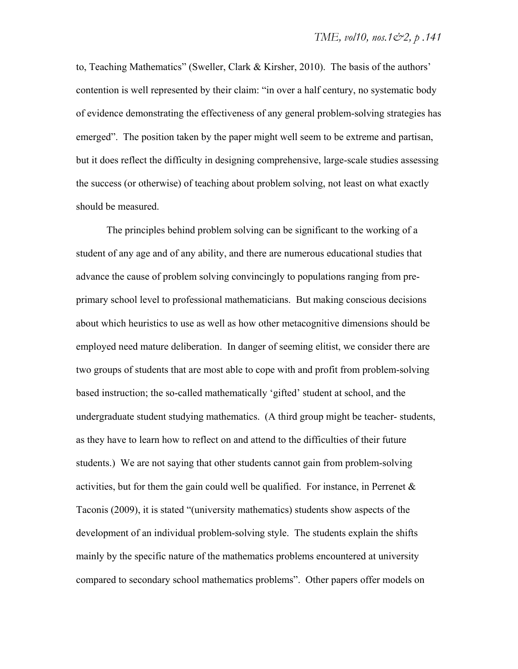to, Teaching Mathematics" (Sweller, Clark & Kirsher, 2010). The basis of the authors' contention is well represented by their claim: "in over a half century, no systematic body of evidence demonstrating the effectiveness of any general problem-solving strategies has emerged". The position taken by the paper might well seem to be extreme and partisan, but it does reflect the difficulty in designing comprehensive, large-scale studies assessing the success (or otherwise) of teaching about problem solving, not least on what exactly should be measured.

The principles behind problem solving can be significant to the working of a student of any age and of any ability, and there are numerous educational studies that advance the cause of problem solving convincingly to populations ranging from preprimary school level to professional mathematicians. But making conscious decisions about which heuristics to use as well as how other metacognitive dimensions should be employed need mature deliberation. In danger of seeming elitist, we consider there are two groups of students that are most able to cope with and profit from problem-solving based instruction; the so-called mathematically 'gifted' student at school, and the undergraduate student studying mathematics. (A third group might be teacher- students, as they have to learn how to reflect on and attend to the difficulties of their future students.) We are not saying that other students cannot gain from problem-solving activities, but for them the gain could well be qualified. For instance, in Perrenet  $\&$ Taconis (2009), it is stated "(university mathematics) students show aspects of the development of an individual problem-solving style. The students explain the shifts mainly by the specific nature of the mathematics problems encountered at university compared to secondary school mathematics problems". Other papers offer models on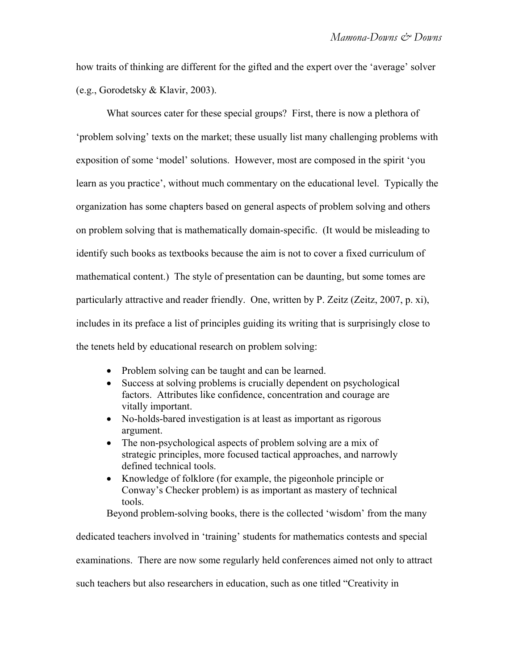how traits of thinking are different for the gifted and the expert over the 'average' solver (e.g., Gorodetsky & Klavir, 2003).

What sources cater for these special groups? First, there is now a plethora of 'problem solving' texts on the market; these usually list many challenging problems with exposition of some 'model' solutions. However, most are composed in the spirit 'you learn as you practice', without much commentary on the educational level. Typically the organization has some chapters based on general aspects of problem solving and others on problem solving that is mathematically domain-specific. (It would be misleading to identify such books as textbooks because the aim is not to cover a fixed curriculum of mathematical content.) The style of presentation can be daunting, but some tomes are particularly attractive and reader friendly. One, written by P. Zeitz (Zeitz, 2007, p. xi), includes in its preface a list of principles guiding its writing that is surprisingly close to the tenets held by educational research on problem solving:

- Problem solving can be taught and can be learned.
- Success at solving problems is crucially dependent on psychological factors. Attributes like confidence, concentration and courage are vitally important.
- No-holds-bared investigation is at least as important as rigorous argument.
- The non-psychological aspects of problem solving are a mix of strategic principles, more focused tactical approaches, and narrowly defined technical tools.
- Knowledge of folklore (for example, the pigeonhole principle or Conway's Checker problem) is as important as mastery of technical tools.

Beyond problem-solving books, there is the collected 'wisdom' from the many

dedicated teachers involved in 'training' students for mathematics contests and special examinations. There are now some regularly held conferences aimed not only to attract such teachers but also researchers in education, such as one titled "Creativity in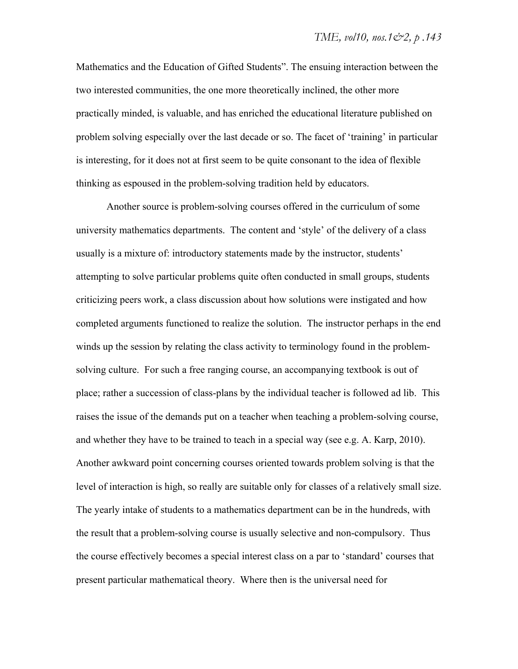Mathematics and the Education of Gifted Students". The ensuing interaction between the two interested communities, the one more theoretically inclined, the other more practically minded, is valuable, and has enriched the educational literature published on problem solving especially over the last decade or so. The facet of 'training' in particular is interesting, for it does not at first seem to be quite consonant to the idea of flexible thinking as espoused in the problem-solving tradition held by educators.

Another source is problem-solving courses offered in the curriculum of some university mathematics departments. The content and 'style' of the delivery of a class usually is a mixture of: introductory statements made by the instructor, students' attempting to solve particular problems quite often conducted in small groups, students criticizing peers work, a class discussion about how solutions were instigated and how completed arguments functioned to realize the solution. The instructor perhaps in the end winds up the session by relating the class activity to terminology found in the problemsolving culture. For such a free ranging course, an accompanying textbook is out of place; rather a succession of class-plans by the individual teacher is followed ad lib. This raises the issue of the demands put on a teacher when teaching a problem-solving course, and whether they have to be trained to teach in a special way (see e.g. A. Karp, 2010). Another awkward point concerning courses oriented towards problem solving is that the level of interaction is high, so really are suitable only for classes of a relatively small size. The yearly intake of students to a mathematics department can be in the hundreds, with the result that a problem-solving course is usually selective and non-compulsory. Thus the course effectively becomes a special interest class on a par to 'standard' courses that present particular mathematical theory. Where then is the universal need for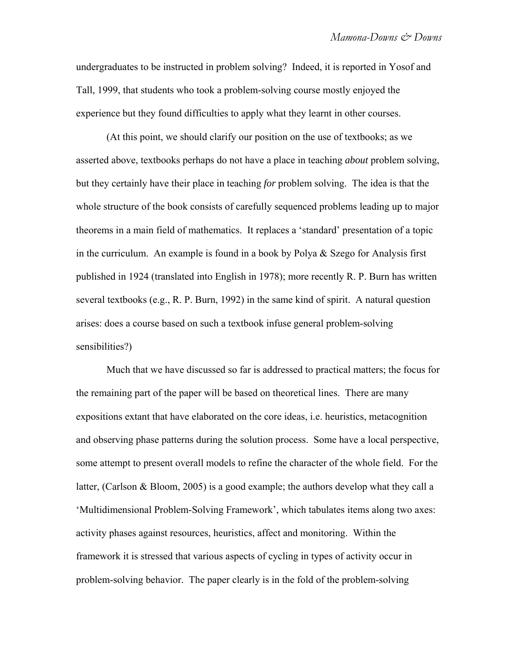undergraduates to be instructed in problem solving? Indeed, it is reported in Yosof and Tall, 1999, that students who took a problem-solving course mostly enjoyed the experience but they found difficulties to apply what they learnt in other courses.

(At this point, we should clarify our position on the use of textbooks; as we asserted above, textbooks perhaps do not have a place in teaching *about* problem solving, but they certainly have their place in teaching *for* problem solving. The idea is that the whole structure of the book consists of carefully sequenced problems leading up to major theorems in a main field of mathematics. It replaces a 'standard' presentation of a topic in the curriculum. An example is found in a book by Polya & Szego for Analysis first published in 1924 (translated into English in 1978); more recently R. P. Burn has written several textbooks (e.g., R. P. Burn, 1992) in the same kind of spirit. A natural question arises: does a course based on such a textbook infuse general problem-solving sensibilities?)

Much that we have discussed so far is addressed to practical matters; the focus for the remaining part of the paper will be based on theoretical lines. There are many expositions extant that have elaborated on the core ideas, i.e. heuristics, metacognition and observing phase patterns during the solution process. Some have a local perspective, some attempt to present overall models to refine the character of the whole field. For the latter, (Carlson & Bloom, 2005) is a good example; the authors develop what they call a 'Multidimensional Problem-Solving Framework', which tabulates items along two axes: activity phases against resources, heuristics, affect and monitoring. Within the framework it is stressed that various aspects of cycling in types of activity occur in problem-solving behavior. The paper clearly is in the fold of the problem-solving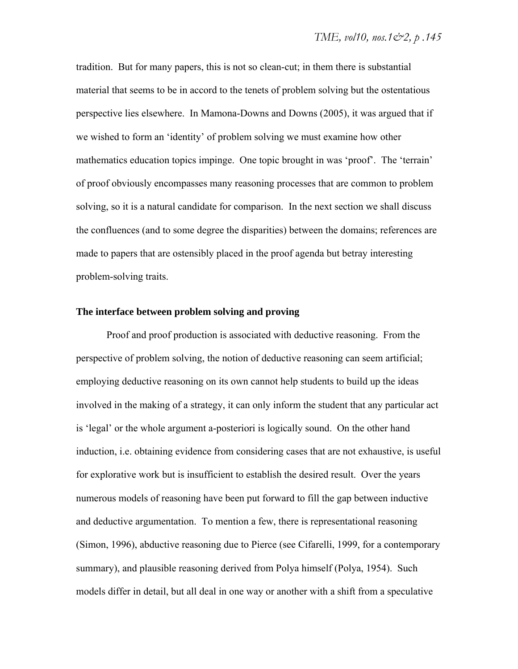tradition. But for many papers, this is not so clean-cut; in them there is substantial material that seems to be in accord to the tenets of problem solving but the ostentatious perspective lies elsewhere. In Mamona-Downs and Downs (2005), it was argued that if we wished to form an 'identity' of problem solving we must examine how other mathematics education topics impinge. One topic brought in was 'proof'. The 'terrain' of proof obviously encompasses many reasoning processes that are common to problem solving, so it is a natural candidate for comparison. In the next section we shall discuss the confluences (and to some degree the disparities) between the domains; references are made to papers that are ostensibly placed in the proof agenda but betray interesting problem-solving traits.

#### **The interface between problem solving and proving**

Proof and proof production is associated with deductive reasoning. From the perspective of problem solving, the notion of deductive reasoning can seem artificial; employing deductive reasoning on its own cannot help students to build up the ideas involved in the making of a strategy, it can only inform the student that any particular act is 'legal' or the whole argument a-posteriori is logically sound. On the other hand induction, i.e. obtaining evidence from considering cases that are not exhaustive, is useful for explorative work but is insufficient to establish the desired result. Over the years numerous models of reasoning have been put forward to fill the gap between inductive and deductive argumentation. To mention a few, there is representational reasoning (Simon, 1996), abductive reasoning due to Pierce (see Cifarelli, 1999, for a contemporary summary), and plausible reasoning derived from Polya himself (Polya, 1954). Such models differ in detail, but all deal in one way or another with a shift from a speculative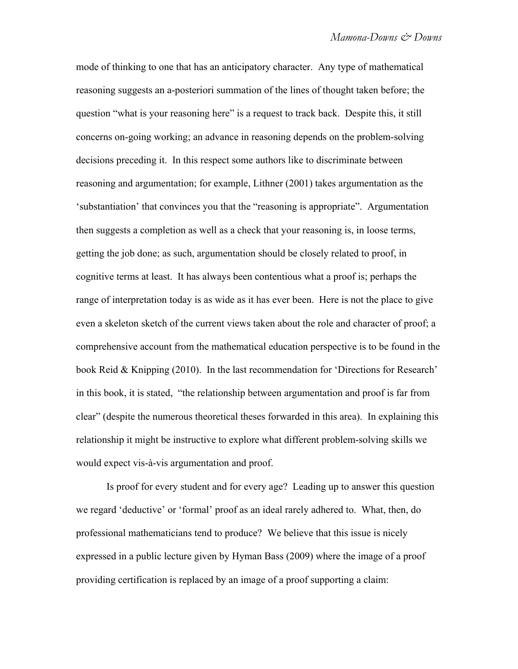mode of thinking to one that has an anticipatory character. Any type of mathematical reasoning suggests an a-posteriori summation of the lines of thought taken before; the question "what is your reasoning here" is a request to track back. Despite this, it still concerns on-going working; an advance in reasoning depends on the problem-solving decisions preceding it. In this respect some authors like to discriminate between reasoning and argumentation; for example, Lithner (2001) takes argumentation as the 'substantiation' that convinces you that the "reasoning is appropriate". Argumentation then suggests a completion as well as a check that your reasoning is, in loose terms, getting the job done; as such, argumentation should be closely related to proof, in cognitive terms at least. It has always been contentious what a proof is; perhaps the range of interpretation today is as wide as it has ever been. Here is not the place to give even a skeleton sketch of the current views taken about the role and character of proof; a comprehensive account from the mathematical education perspective is to be found in the book Reid & Knipping (2010). In the last recommendation for 'Directions for Research' in this book, it is stated, "the relationship between argumentation and proof is far from clear" (despite the numerous theoretical theses forwarded in this area). In explaining this relationship it might be instructive to explore what different problem-solving skills we would expect vis-à-vis argumentation and proof.

Is proof for every student and for every age? Leading up to answer this question we regard 'deductive' or 'formal' proof as an ideal rarely adhered to. What, then, do professional mathematicians tend to produce? We believe that this issue is nicely expressed in a public lecture given by Hyman Bass (2009) where the image of a proof providing certification is replaced by an image of a proof supporting a claim: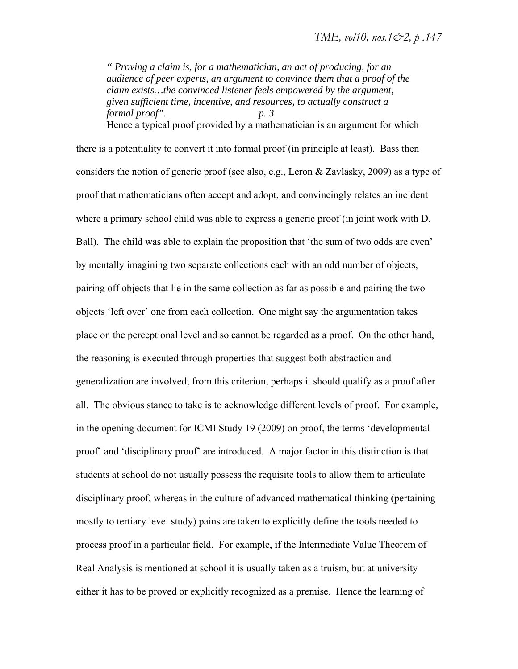*" Proving a claim is, for a mathematician, an act of producing, for an audience of peer experts, an argument to convince them that a proof of the claim exists…the convinced listener feels empowered by the argument, given sufficient time, incentive, and resources, to actually construct a formal proof". p. 3*  Hence a typical proof provided by a mathematician is an argument for which

there is a potentiality to convert it into formal proof (in principle at least). Bass then considers the notion of generic proof (see also, e.g., Leron & Zavlasky, 2009) as a type of proof that mathematicians often accept and adopt, and convincingly relates an incident where a primary school child was able to express a generic proof (in joint work with D. Ball). The child was able to explain the proposition that 'the sum of two odds are even' by mentally imagining two separate collections each with an odd number of objects, pairing off objects that lie in the same collection as far as possible and pairing the two objects 'left over' one from each collection. One might say the argumentation takes place on the perceptional level and so cannot be regarded as a proof. On the other hand, the reasoning is executed through properties that suggest both abstraction and generalization are involved; from this criterion, perhaps it should qualify as a proof after all. The obvious stance to take is to acknowledge different levels of proof. For example, in the opening document for ICMI Study 19 (2009) on proof, the terms 'developmental proof' and 'disciplinary proof' are introduced. A major factor in this distinction is that students at school do not usually possess the requisite tools to allow them to articulate disciplinary proof, whereas in the culture of advanced mathematical thinking (pertaining mostly to tertiary level study) pains are taken to explicitly define the tools needed to process proof in a particular field. For example, if the Intermediate Value Theorem of Real Analysis is mentioned at school it is usually taken as a truism, but at university either it has to be proved or explicitly recognized as a premise. Hence the learning of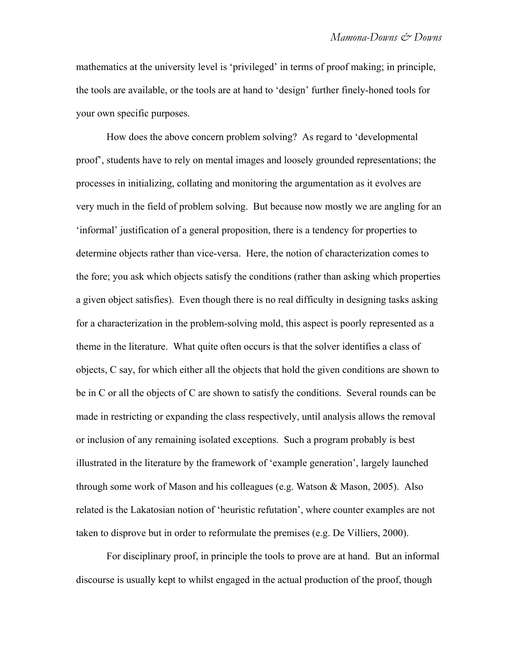mathematics at the university level is 'privileged' in terms of proof making; in principle, the tools are available, or the tools are at hand to 'design' further finely-honed tools for your own specific purposes.

How does the above concern problem solving? As regard to 'developmental proof', students have to rely on mental images and loosely grounded representations; the processes in initializing, collating and monitoring the argumentation as it evolves are very much in the field of problem solving. But because now mostly we are angling for an 'informal' justification of a general proposition, there is a tendency for properties to determine objects rather than vice-versa. Here, the notion of characterization comes to the fore; you ask which objects satisfy the conditions (rather than asking which properties a given object satisfies). Even though there is no real difficulty in designing tasks asking for a characterization in the problem-solving mold, this aspect is poorly represented as a theme in the literature. What quite often occurs is that the solver identifies a class of objects, C say, for which either all the objects that hold the given conditions are shown to be in C or all the objects of C are shown to satisfy the conditions. Several rounds can be made in restricting or expanding the class respectively, until analysis allows the removal or inclusion of any remaining isolated exceptions. Such a program probably is best illustrated in the literature by the framework of 'example generation', largely launched through some work of Mason and his colleagues (e.g. Watson & Mason, 2005). Also related is the Lakatosian notion of 'heuristic refutation', where counter examples are not taken to disprove but in order to reformulate the premises (e.g. De Villiers, 2000).

For disciplinary proof, in principle the tools to prove are at hand. But an informal discourse is usually kept to whilst engaged in the actual production of the proof, though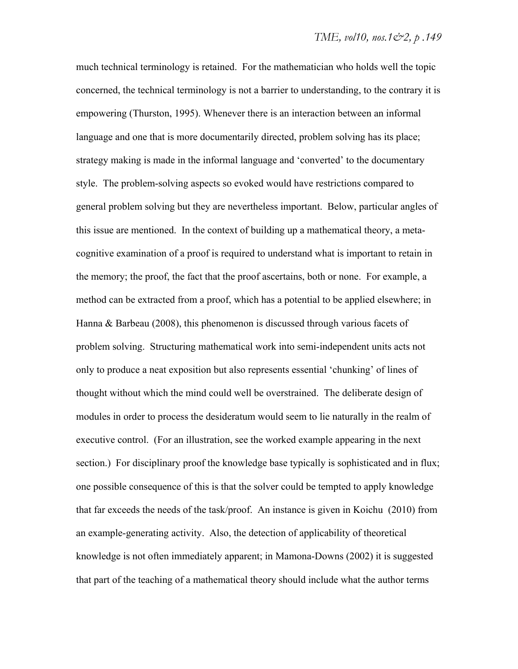much technical terminology is retained. For the mathematician who holds well the topic concerned, the technical terminology is not a barrier to understanding, to the contrary it is empowering (Thurston, 1995). Whenever there is an interaction between an informal language and one that is more documentarily directed, problem solving has its place; strategy making is made in the informal language and 'converted' to the documentary style. The problem-solving aspects so evoked would have restrictions compared to general problem solving but they are nevertheless important. Below, particular angles of this issue are mentioned. In the context of building up a mathematical theory, a metacognitive examination of a proof is required to understand what is important to retain in the memory; the proof, the fact that the proof ascertains, both or none. For example, a method can be extracted from a proof, which has a potential to be applied elsewhere; in Hanna & Barbeau (2008), this phenomenon is discussed through various facets of problem solving. Structuring mathematical work into semi-independent units acts not only to produce a neat exposition but also represents essential 'chunking' of lines of thought without which the mind could well be overstrained. The deliberate design of modules in order to process the desideratum would seem to lie naturally in the realm of executive control. (For an illustration, see the worked example appearing in the next section.) For disciplinary proof the knowledge base typically is sophisticated and in flux; one possible consequence of this is that the solver could be tempted to apply knowledge that far exceeds the needs of the task/proof. An instance is given in Koichu (2010) from an example-generating activity. Also, the detection of applicability of theoretical knowledge is not often immediately apparent; in Mamona-Downs (2002) it is suggested that part of the teaching of a mathematical theory should include what the author terms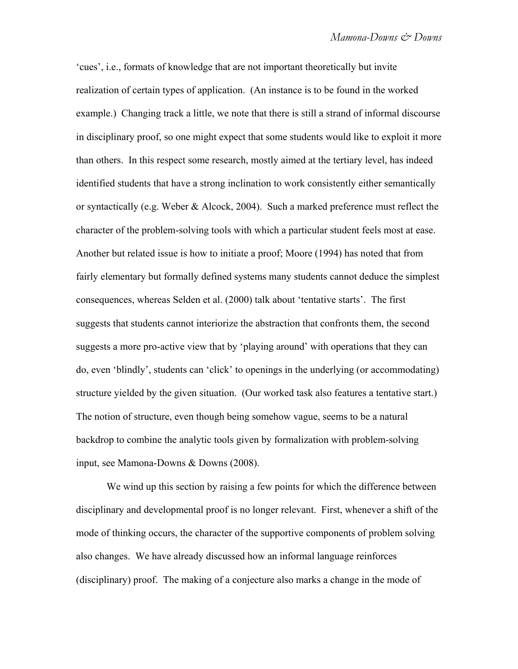'cues', i.e., formats of knowledge that are not important theoretically but invite realization of certain types of application. (An instance is to be found in the worked example.) Changing track a little, we note that there is still a strand of informal discourse in disciplinary proof, so one might expect that some students would like to exploit it more than others. In this respect some research, mostly aimed at the tertiary level, has indeed identified students that have a strong inclination to work consistently either semantically or syntactically (e.g. Weber & Alcock, 2004). Such a marked preference must reflect the character of the problem-solving tools with which a particular student feels most at ease. Another but related issue is how to initiate a proof; Moore (1994) has noted that from fairly elementary but formally defined systems many students cannot deduce the simplest consequences, whereas Selden et al. (2000) talk about 'tentative starts'. The first suggests that students cannot interiorize the abstraction that confronts them, the second suggests a more pro-active view that by 'playing around' with operations that they can do, even 'blindly', students can 'click' to openings in the underlying (or accommodating) structure yielded by the given situation. (Our worked task also features a tentative start.) The notion of structure, even though being somehow vague, seems to be a natural backdrop to combine the analytic tools given by formalization with problem-solving input, see Mamona-Downs & Downs (2008).

We wind up this section by raising a few points for which the difference between disciplinary and developmental proof is no longer relevant. First, whenever a shift of the mode of thinking occurs, the character of the supportive components of problem solving also changes. We have already discussed how an informal language reinforces (disciplinary) proof. The making of a conjecture also marks a change in the mode of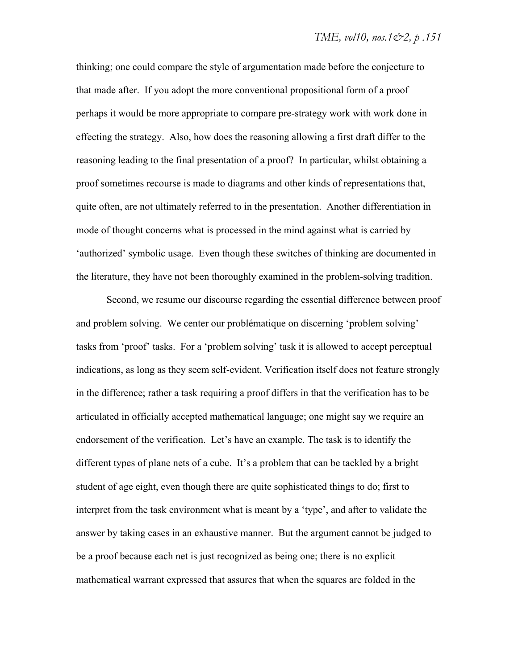thinking; one could compare the style of argumentation made before the conjecture to that made after. If you adopt the more conventional propositional form of a proof perhaps it would be more appropriate to compare pre-strategy work with work done in effecting the strategy. Also, how does the reasoning allowing a first draft differ to the reasoning leading to the final presentation of a proof? In particular, whilst obtaining a proof sometimes recourse is made to diagrams and other kinds of representations that, quite often, are not ultimately referred to in the presentation. Another differentiation in mode of thought concerns what is processed in the mind against what is carried by 'authorized' symbolic usage. Even though these switches of thinking are documented in the literature, they have not been thoroughly examined in the problem-solving tradition.

Second, we resume our discourse regarding the essential difference between proof and problem solving. We center our problématique on discerning 'problem solving' tasks from 'proof' tasks. For a 'problem solving' task it is allowed to accept perceptual indications, as long as they seem self-evident. Verification itself does not feature strongly in the difference; rather a task requiring a proof differs in that the verification has to be articulated in officially accepted mathematical language; one might say we require an endorsement of the verification. Let's have an example. The task is to identify the different types of plane nets of a cube. It's a problem that can be tackled by a bright student of age eight, even though there are quite sophisticated things to do; first to interpret from the task environment what is meant by a 'type', and after to validate the answer by taking cases in an exhaustive manner. But the argument cannot be judged to be a proof because each net is just recognized as being one; there is no explicit mathematical warrant expressed that assures that when the squares are folded in the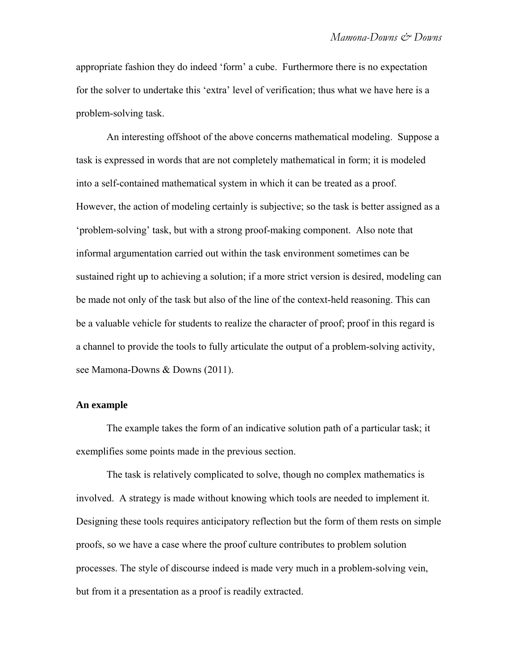appropriate fashion they do indeed 'form' a cube. Furthermore there is no expectation for the solver to undertake this 'extra' level of verification; thus what we have here is a problem-solving task.

An interesting offshoot of the above concerns mathematical modeling. Suppose a task is expressed in words that are not completely mathematical in form; it is modeled into a self-contained mathematical system in which it can be treated as a proof. However, the action of modeling certainly is subjective; so the task is better assigned as a 'problem-solving' task, but with a strong proof-making component. Also note that informal argumentation carried out within the task environment sometimes can be sustained right up to achieving a solution; if a more strict version is desired, modeling can be made not only of the task but also of the line of the context-held reasoning. This can be a valuable vehicle for students to realize the character of proof; proof in this regard is a channel to provide the tools to fully articulate the output of a problem-solving activity, see Mamona-Downs & Downs (2011).

### **An example**

The example takes the form of an indicative solution path of a particular task; it exemplifies some points made in the previous section.

The task is relatively complicated to solve, though no complex mathematics is involved. A strategy is made without knowing which tools are needed to implement it. Designing these tools requires anticipatory reflection but the form of them rests on simple proofs, so we have a case where the proof culture contributes to problem solution processes. The style of discourse indeed is made very much in a problem-solving vein, but from it a presentation as a proof is readily extracted.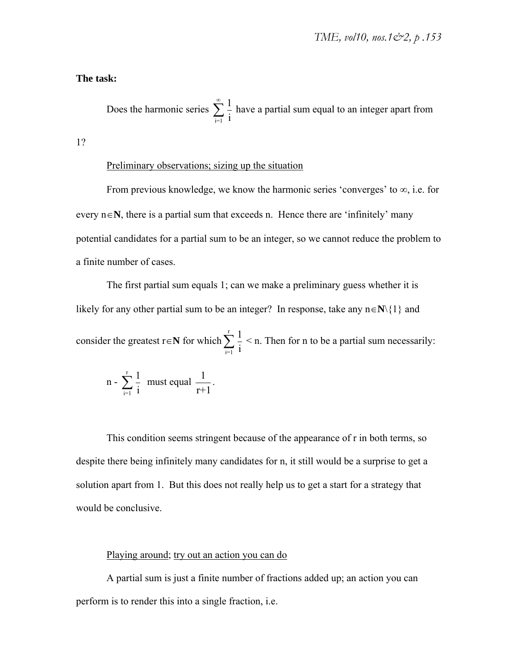#### **The task:**

Does the harmonic series  $\sum_{n=1}^{\infty} \frac{1}{n}$  have a partial sum equal to an integer apart from  $\sum_{i=1}$  i  $\sum^{\infty}$ 

1?

#### Preliminary observations; sizing up the situation

From previous knowledge, we know the harmonic series 'converges' to  $\infty$ , i.e. for every  $n \in \mathbb{N}$ , there is a partial sum that exceeds n. Hence there are 'infinitely' many potential candidates for a partial sum to be an integer, so we cannot reduce the problem to a finite number of cases.

The first partial sum equals 1; can we make a preliminary guess whether it is likely for any other partial sum to be an integer? In response, take any  $n \in \mathbb{N}\setminus\{1\}$  and

consider the greatest  $\mathbf{r} \in \mathbb{N}$  for which  $\sum_{n=1}^{\infty} \frac{1}{n} < \mathbf{n}$ . Then for n to be a partial sum necessarily:  $\sum_{i=1}$  i  $\sum^{\rm r}$ 

n - 
$$
\sum_{i=1}^{r} \frac{1}{i}
$$
 must equal  $\frac{1}{r+1}$ .

This condition seems stringent because of the appearance of r in both terms, so despite there being infinitely many candidates for n, it still would be a surprise to get a solution apart from 1. But this does not really help us to get a start for a strategy that would be conclusive.

## Playing around; try out an action you can do

A partial sum is just a finite number of fractions added up; an action you can perform is to render this into a single fraction, i.e.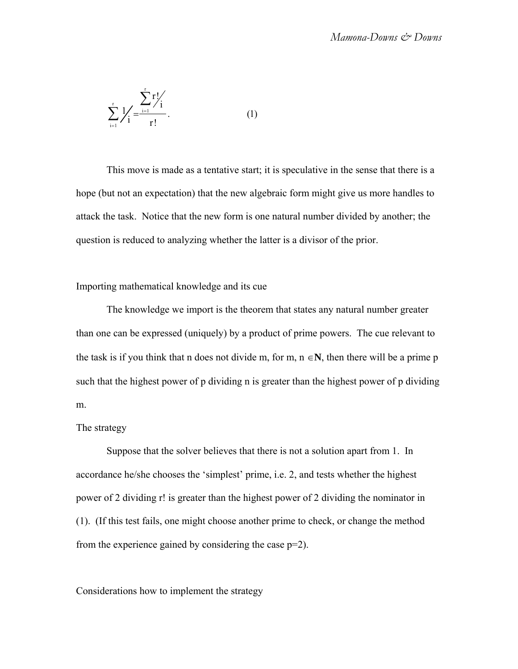$$
\sum_{i=1}^{r} \frac{1}{r} = \frac{\sum_{i=1}^{r} r!}{r!}.
$$
 (1)

This move is made as a tentative start; it is speculative in the sense that there is a hope (but not an expectation) that the new algebraic form might give us more handles to attack the task. Notice that the new form is one natural number divided by another; the question is reduced to analyzing whether the latter is a divisor of the prior.

#### Importing mathematical knowledge and its cue

The knowledge we import is the theorem that states any natural number greater than one can be expressed (uniquely) by a product of prime powers. The cue relevant to the task is if you think that n does not divide m, for m,  $n \in \mathbb{N}$ , then there will be a prime p such that the highest power of p dividing n is greater than the highest power of p dividing m.

#### The strategy

Suppose that the solver believes that there is not a solution apart from 1. In accordance he/she chooses the 'simplest' prime, i.e. 2, and tests whether the highest power of 2 dividing r! is greater than the highest power of 2 dividing the nominator in (1). (If this test fails, one might choose another prime to check, or change the method from the experience gained by considering the case p=2).

#### Considerations how to implement the strategy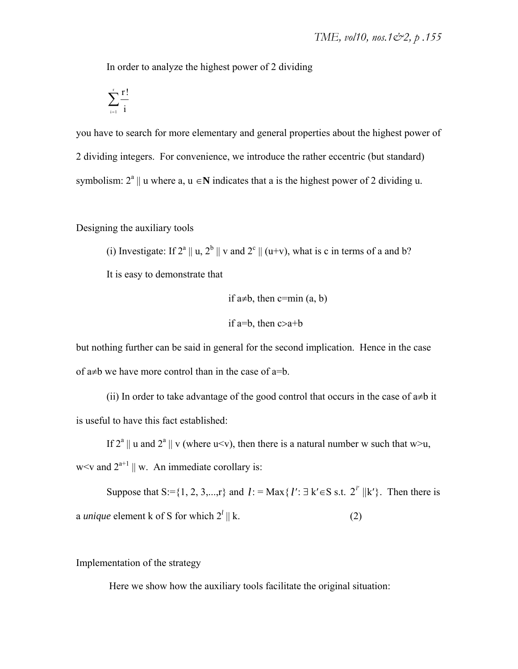In order to analyze the highest power of 2 dividing

$$
\sum_{_{i=1}}^{^r}\frac{r\,!}{i}
$$

you have to search for more elementary and general properties about the highest power of 2 dividing integers. For convenience, we introduce the rather eccentric (but standard) symbolism:  $2^a \parallel u$  where a,  $u \in \mathbb{N}$  indicates that a is the highest power of 2 dividing u.

Designing the auxiliary tools

(i) Investigate: If  $2^a \parallel u$ ,  $2^b \parallel v$  and  $2^c \parallel (u+v)$ , what is c in terms of a and b?

It is easy to demonstrate that

if 
$$
a \neq b
$$
, then  $c = min(a, b)$ 

if a=b, then  $c > a+b$ 

but nothing further can be said in general for the second implication. Hence in the case of  $a\neq b$  we have more control than in the case of  $a=b$ .

(ii) In order to take advantage of the good control that occurs in the case of  $a\neq b$  it is useful to have this fact established:

If  $2^a \parallel u$  and  $2^a \parallel v$  (where u<v), then there is a natural number w such that w>u, w  $\lt v$  and  $2^{a+1} \parallel w$ . An immediate corollary is:

Suppose that  $S := \{1, 2, 3, \ldots, r\}$  and  $l := \text{Max}\{l' : \exists k' \in S \text{ s.t. } 2^{l'} || k'\}$ . Then there is a *unique* element k of S for which  $2^l || k$ . (2)

Implementation of the strategy

Here we show how the auxiliary tools facilitate the original situation: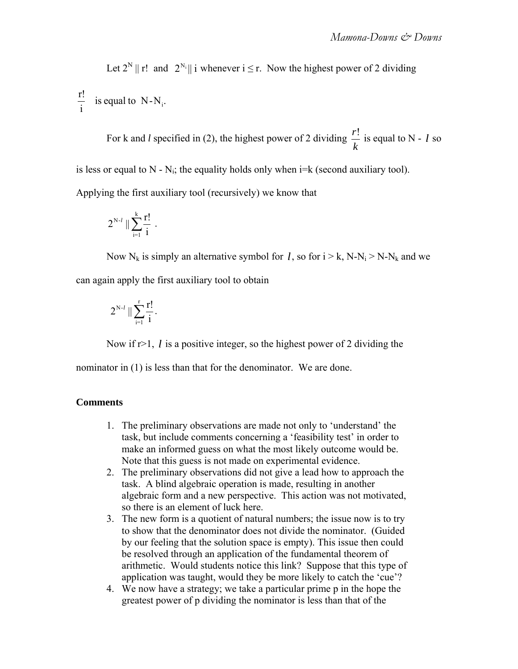Let  $2^N || r!$  and  $2^{N_i} || i$  whenever  $i \leq r$ . Now the highest power of 2 dividing

 $\frac{r!}{i}$  is equal to N-N<sub>i</sub>.

For k and *l* specified in (2), the highest power of 2 dividing  $\frac{r!}{r}$  is equal to N - *l* so *k l*

is less or equal to  $N - N_i$ ; the equality holds only when  $i=k$  (second auxiliary tool).

Applying the first auxiliary tool (recursively) we know that

$$
2^{N\text{-}l}\parallel\sum_{i=1}^k\frac{r!}{i}\ .
$$

Now  $N_k$  is simply an alternative symbol for *l*, so for  $i > k$ ,  $N - N_i > N - N_k$  and we can again apply the first auxiliary tool to obtain

$$
2^{N\text{-}l}\parallel\sum_{i=1}^r\frac{r!}{i}.
$$

Now if  $r>1$ ,  $l$  is a positive integer, so the highest power of 2 dividing the

nominator in (1) is less than that for the denominator. We are done.

#### **Comments**

- 1. The preliminary observations are made not only to 'understand' the task, but include comments concerning a 'feasibility test' in order to make an informed guess on what the most likely outcome would be. Note that this guess is not made on experimental evidence.
- 2. The preliminary observations did not give a lead how to approach the task. A blind algebraic operation is made, resulting in another algebraic form and a new perspective. This action was not motivated, so there is an element of luck here.
- 3. The new form is a quotient of natural numbers; the issue now is to try to show that the denominator does not divide the nominator. (Guided by our feeling that the solution space is empty). This issue then could be resolved through an application of the fundamental theorem of arithmetic. Would students notice this link? Suppose that this type of application was taught, would they be more likely to catch the 'cue'?
- 4. We now have a strategy; we take a particular prime p in the hope the greatest power of p dividing the nominator is less than that of the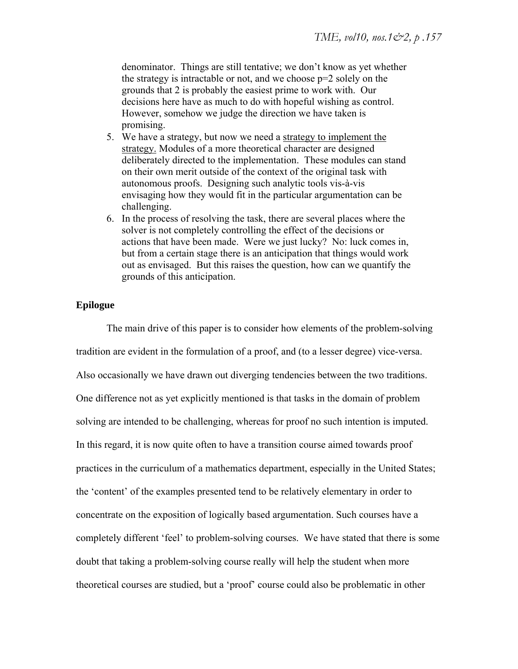denominator. Things are still tentative; we don't know as yet whether the strategy is intractable or not, and we choose  $p=2$  solely on the grounds that 2 is probably the easiest prime to work with. Our decisions here have as much to do with hopeful wishing as control. However, somehow we judge the direction we have taken is promising.

- 5. We have a strategy, but now we need a strategy to implement the strategy. Modules of a more theoretical character are designed deliberately directed to the implementation. These modules can stand on their own merit outside of the context of the original task with autonomous proofs. Designing such analytic tools vis-à-vis envisaging how they would fit in the particular argumentation can be challenging.
- 6. In the process of resolving the task, there are several places where the solver is not completely controlling the effect of the decisions or actions that have been made. Were we just lucky? No: luck comes in, but from a certain stage there is an anticipation that things would work out as envisaged. But this raises the question, how can we quantify the grounds of this anticipation.

## **Epilogue**

The main drive of this paper is to consider how elements of the problem-solving tradition are evident in the formulation of a proof, and (to a lesser degree) vice-versa. Also occasionally we have drawn out diverging tendencies between the two traditions. One difference not as yet explicitly mentioned is that tasks in the domain of problem solving are intended to be challenging, whereas for proof no such intention is imputed. In this regard, it is now quite often to have a transition course aimed towards proof practices in the curriculum of a mathematics department, especially in the United States; the 'content' of the examples presented tend to be relatively elementary in order to concentrate on the exposition of logically based argumentation. Such courses have a completely different 'feel' to problem-solving courses. We have stated that there is some doubt that taking a problem-solving course really will help the student when more theoretical courses are studied, but a 'proof' course could also be problematic in other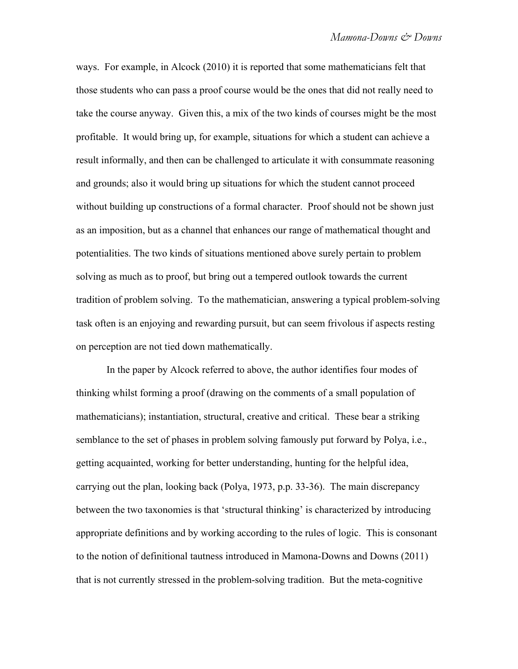ways. For example, in Alcock (2010) it is reported that some mathematicians felt that those students who can pass a proof course would be the ones that did not really need to take the course anyway. Given this, a mix of the two kinds of courses might be the most profitable. It would bring up, for example, situations for which a student can achieve a result informally, and then can be challenged to articulate it with consummate reasoning and grounds; also it would bring up situations for which the student cannot proceed without building up constructions of a formal character. Proof should not be shown just as an imposition, but as a channel that enhances our range of mathematical thought and potentialities. The two kinds of situations mentioned above surely pertain to problem solving as much as to proof, but bring out a tempered outlook towards the current tradition of problem solving. To the mathematician, answering a typical problem-solving task often is an enjoying and rewarding pursuit, but can seem frivolous if aspects resting on perception are not tied down mathematically.

In the paper by Alcock referred to above, the author identifies four modes of thinking whilst forming a proof (drawing on the comments of a small population of mathematicians); instantiation, structural, creative and critical. These bear a striking semblance to the set of phases in problem solving famously put forward by Polya, i.e., getting acquainted, working for better understanding, hunting for the helpful idea, carrying out the plan, looking back (Polya, 1973, p.p. 33-36). The main discrepancy between the two taxonomies is that 'structural thinking' is characterized by introducing appropriate definitions and by working according to the rules of logic. This is consonant to the notion of definitional tautness introduced in Mamona-Downs and Downs (2011) that is not currently stressed in the problem-solving tradition. But the meta-cognitive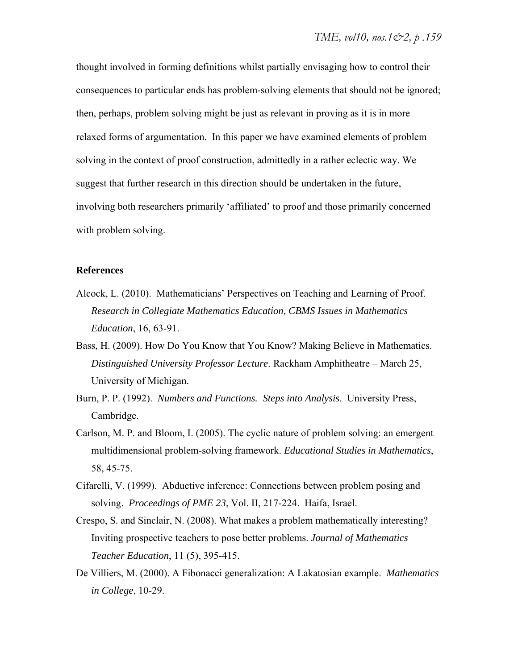thought involved in forming definitions whilst partially envisaging how to control their consequences to particular ends has problem-solving elements that should not be ignored; then, perhaps, problem solving might be just as relevant in proving as it is in more relaxed forms of argumentation. In this paper we have examined elements of problem solving in the context of proof construction, admittedly in a rather eclectic way. We suggest that further research in this direction should be undertaken in the future, involving both researchers primarily 'affiliated' to proof and those primarily concerned with problem solving.

#### **References**

- Alcock, L. (2010). Mathematicians' Perspectives on Teaching and Learning of Proof. *Research in Collegiate Mathematics Education, CBMS Issues in Mathematics Education*, 16, 63-91.
- Bass, H. (2009). How Do You Know that You Know? Making Believe in Mathematics. *Distinguished University Professor Lecture*. Rackham Amphitheatre – March 25, University of Michigan.
- Burn, P. P. (1992). *Numbers and Functions. Steps into Analysis*. University Press, Cambridge.
- Carlson, M. P. and Bloom, I. (2005). The cyclic nature of problem solving: an emergent multidimensional problem-solving framework. *Educational Studies in Mathematics*, 58, 45-75.
- Cifarelli, V. (1999). Abductive inference: Connections between problem posing and solving. *Proceedings of PME 23*, Vol. II, 217-224. Haifa, Israel.
- Crespo, S. and Sinclair, N. (2008). What makes a problem mathematically interesting? Inviting prospective teachers to pose better problems. *Journal of Mathematics Teacher Education*, 11 (5), 395-415.
- De Villiers, M. (2000). A Fibonacci generalization: A Lakatosian example. *Mathematics in College*, 10-29.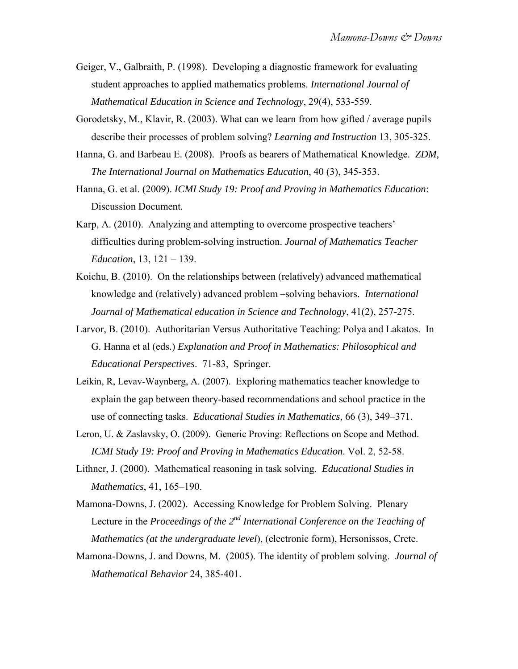- Geiger, V., Galbraith, P. (1998). Developing a diagnostic framework for evaluating student approaches to applied mathematics problems. *International Journal of Mathematical Education in Science and Technology*, 29(4), 533-559.
- Gorodetsky, M., Klavir, R. (2003). What can we learn from how gifted / average pupils describe their processes of problem solving? *Learning and Instruction* 13, 305-325.
- Hanna, G. and Barbeau E. (2008). Proofs as bearers of Mathematical Knowledge. *ZDM, The International Journal on Mathematics Education*, 40 (3), 345-353.
- Hanna, G. et al. (2009). *ICMI Study 19: Proof and Proving in Mathematics Education*: Discussion Document*.*
- Karp, A. (2010). Analyzing and attempting to overcome prospective teachers' difficulties during problem-solving instruction. *Journal of Mathematics Teacher Education*, 13, 121 – 139.
- Koichu, B. (2010). On the relationships between (relatively) advanced mathematical knowledge and (relatively) advanced problem –solving behaviors. *International Journal of Mathematical education in Science and Technology*, 41(2), 257-275.
- Larvor, B. (2010). Authoritarian Versus Authoritative Teaching: Polya and Lakatos. In G. Hanna et al (eds.) *Explanation and Proof in Mathematics: Philosophical and Educational Perspectives*. 71-83, Springer.
- Leikin, R, Levav-Waynberg, A. (2007). Exploring mathematics teacher knowledge to explain the gap between theory-based recommendations and school practice in the use of connecting tasks. *Educational Studies in Mathematics*, 66 (3), 349–371.
- Leron, U. & Zaslavsky, O. (2009). Generic Proving: Reflections on Scope and Method. *ICMI Study 19: Proof and Proving in Mathematics Education*. Vol. 2, 52-58.
- Lithner, J. (2000). Mathematical reasoning in task solving. *Educational Studies in Mathematics*, 41, 165–190.
- Mamona-Downs, J. (2002). Accessing Knowledge for Problem Solving. Plenary Lecture in the *Proceedings of the 2<sup>nd</sup> International Conference on the Teaching of Mathematics (at the undergraduate level*), (electronic form), Hersonissos, Crete.
- Mamona-Downs, J. and Downs, M. (2005). The identity of problem solving. *Journal of Mathematical Behavior* 24, 385-401.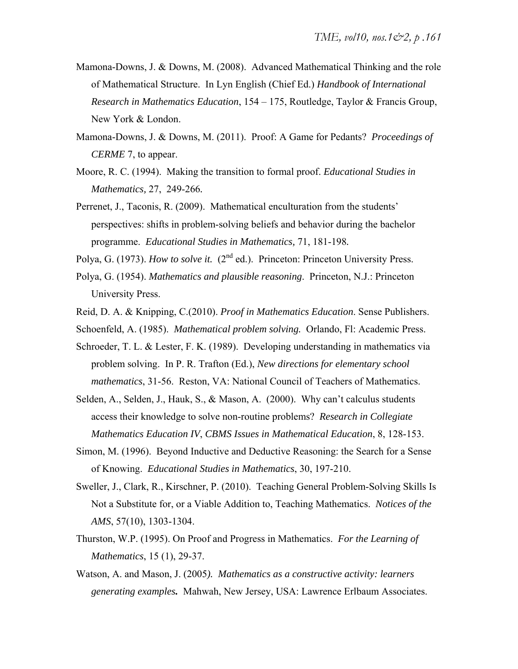- Mamona-Downs, J. & Downs, M. (2008). Advanced Mathematical Thinking and the role of Mathematical Structure. In Lyn English (Chief Ed.) *Handbook of International Research in Mathematics Education*, 154 – 175, Routledge, Taylor & Francis Group, New York & London.
- Mamona-Downs, J. & Downs, M. (2011). Proof: A Game for Pedants? *Proceedings of CERME* 7, to appear.
- Moore, R. C. (1994). Making the transition to formal proof. *Educational Studies in Mathematics,* 27, 249-266*.*
- Perrenet, J., Taconis, R. (2009). Mathematical enculturation from the students' perspectives: shifts in problem-solving beliefs and behavior during the bachelor programme. *Educational Studies in Mathematics,* 71, 181-198*.*
- Polya, G. (1973). *How to solve it.* (2<sup>nd</sup> ed.). Princeton: Princeton University Press.
- Polya, G. (1954). *Mathematics and plausible reasoning*. Princeton, N.J.: Princeton University Press.
- Reid, D. A. & Knipping, C.(2010). *Proof in Mathematics Education*. Sense Publishers.
- Schoenfeld, A. (1985). *Mathematical problem solving.* Orlando, Fl: Academic Press.
- Schroeder, T. L. & Lester, F. K. (1989). Developing understanding in mathematics via problem solving. In P. R. Trafton (Ed.), *New directions for elementary school mathematics*, 31-56. Reston, VA: National Council of Teachers of Mathematics.
- Selden, A., Selden, J., Hauk, S., & Mason, A. (2000). Why can't calculus students access their knowledge to solve non-routine problems? *Research in Collegiate Mathematics Education IV*, *CBMS Issues in Mathematical Education*, 8, 128-153.
- Simon, M. (1996). Beyond Inductive and Deductive Reasoning: the Search for a Sense of Knowing. *Educational Studies in Mathematics*, 30, 197-210.
- Sweller, J., Clark, R., Kirschner, P. (2010). Teaching General Problem-Solving Skills Is Not a Substitute for, or a Viable Addition to, Teaching Mathematics. *Notices of the AMS*, 57(10), 1303-1304.
- Thurston, W.P. (1995). On Proof and Progress in Mathematics. *For the Learning of Mathematics*, 15 (1), 29-37.
- Watson, A. and Mason, J. (2005*). Mathematics as a constructive activity: learners generating examples.* Mahwah, New Jersey, USA: Lawrence Erlbaum Associates.